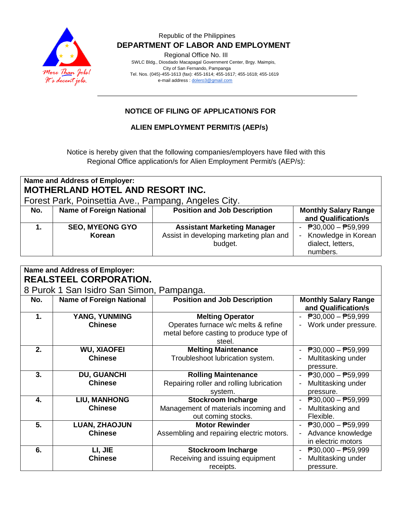

### Republic of the Philippines  **DEPARTMENT OF LABOR AND EMPLOYMENT**

Regional Office No. III

 SWLC Bldg., Diosdado Macapagal Government Center, Brgy. Maimpis, City of San Fernando, Pampanga Tel. Nos. (045)-455-1613 (fax): 455-1614; 455-1617; 455-1618; 455-1619 e-mail address [: dolero3@gmail.com](mailto:dolero3@gmail.com)

# **NOTICE OF FILING OF APPLICATION/S FOR**

## **ALIEN EMPLOYMENT PERMIT/S (AEP/s)**

Notice is hereby given that the following companies/employers have filed with this Regional Office application/s for Alien Employment Permit/s (AEP/s):

| <b>Name and Address of Employer:</b><br><b>MOTHERLAND HOTEL AND RESORT INC.</b><br>Forest Park, Poinsettia Ave., Pampang, Angeles City. |                                  |                                                                                          |                                                                                                     |  |  |  |
|-----------------------------------------------------------------------------------------------------------------------------------------|----------------------------------|------------------------------------------------------------------------------------------|-----------------------------------------------------------------------------------------------------|--|--|--|
| No.                                                                                                                                     | <b>Name of Foreign National</b>  | <b>Position and Job Description</b>                                                      | <b>Monthly Salary Range</b><br>and Qualification/s                                                  |  |  |  |
|                                                                                                                                         | <b>SEO, MYEONG GYO</b><br>Korean | <b>Assistant Marketing Manager</b><br>Assist in developing marketing plan and<br>budget. | - $\overline{P}30,000 - \overline{P}59,999$<br>Knowledge in Korean<br>dialect, letters,<br>numbers. |  |  |  |

| Name and Address of Employer:<br><b>REALSTEEL CORPORATION.</b> |                                 |                                           |                                           |  |  |  |
|----------------------------------------------------------------|---------------------------------|-------------------------------------------|-------------------------------------------|--|--|--|
| 8 Purok 1 San Isidro San Simon, Pampanga.                      |                                 |                                           |                                           |  |  |  |
| No.                                                            | <b>Name of Foreign National</b> | <b>Position and Job Description</b>       | <b>Monthly Salary Range</b>               |  |  |  |
|                                                                |                                 |                                           | and Qualification/s                       |  |  |  |
| 1.                                                             | YANG, YUNMING                   | <b>Melting Operator</b>                   | $P30,000 - P59,999$                       |  |  |  |
|                                                                | <b>Chinese</b>                  | Operates furnace w/c melts & refine       | Work under pressure.                      |  |  |  |
|                                                                |                                 | metal before casting to produce type of   |                                           |  |  |  |
|                                                                |                                 | steel.                                    |                                           |  |  |  |
| 2.                                                             | <b>WU, XIAOFEI</b>              | <b>Melting Maintenance</b>                | $\overline{P}30,000 - \overline{P}59,999$ |  |  |  |
|                                                                | <b>Chinese</b>                  | Troubleshoot lubrication system.          | Multitasking under                        |  |  |  |
|                                                                |                                 |                                           | pressure.                                 |  |  |  |
| 3.                                                             | <b>DU, GUANCHI</b>              | <b>Rolling Maintenance</b>                | $P30,000 - P59,999$                       |  |  |  |
|                                                                | <b>Chinese</b>                  | Repairing roller and rolling lubrication  | Multitasking under                        |  |  |  |
|                                                                |                                 | system.                                   | pressure.                                 |  |  |  |
| 4.                                                             | <b>LIU, MANHONG</b>             | <b>Stockroom Incharge</b>                 | $\overline{P}30,000 - \overline{P}59,999$ |  |  |  |
|                                                                | <b>Chinese</b>                  | Management of materials incoming and      | Multitasking and                          |  |  |  |
|                                                                |                                 | out coming stocks.                        | Flexible.                                 |  |  |  |
| 5.                                                             | <b>LUAN, ZHAOJUN</b>            | <b>Motor Rewinder</b>                     | $\overline{P}30,000 - \overline{P}59,999$ |  |  |  |
|                                                                | <b>Chinese</b>                  | Assembling and repairing electric motors. | Advance knowledge                         |  |  |  |
|                                                                |                                 |                                           | in electric motors                        |  |  |  |
| 6.                                                             | LI, JIE                         | <b>Stockroom Incharge</b>                 | $P30,000 - P59,999$                       |  |  |  |
|                                                                | <b>Chinese</b>                  | Receiving and issuing equipment           | Multitasking under                        |  |  |  |
|                                                                |                                 | receipts.                                 | pressure.                                 |  |  |  |